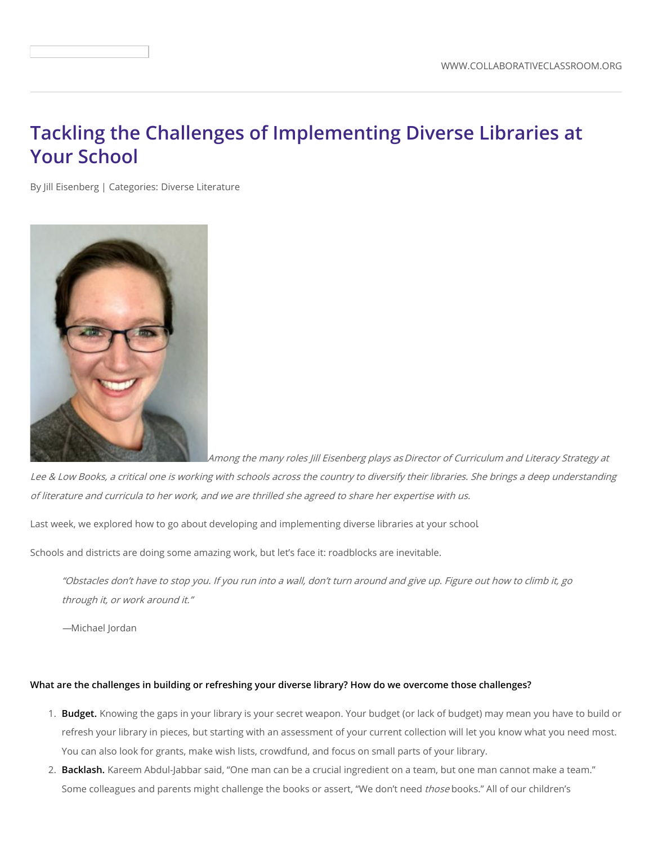## **Tackling the Challenges of Implementing Diverse Libraries at Your School**

By Jill [Eisenberg](https://www.collaborativeclassroom.org/people/jill-eisenberg/) | Categories: Diverse [Literature](/blog?cat=diverse-literature)



Among the many roles Jill Eisenberg plays asDirector of Curriculum and Literacy Strategy at

Lee & Low Books, <sup>a</sup> critical one is working with schools across the country to diversify their libraries. She brings <sup>a</sup> deep understanding of literature and curricula to her work, and we are thrilled she agreed to share her expertise with us.

Last week, we explored how to go about developing and [implementing](https://www.collaborativeclassroom.org/blog/how-to-actually-implement-more-diverse-libraries-at-your-school/) diverse libraries at your school.

Schools and districts are doing some amazing work, but let's face it: roadblocks are inevitable.

"Obstacles don't have to stop you. If you run into <sup>a</sup> wall, don't turn around and give up. Figure out how to climb it, go through it, or work around it."

—Michael Jordan

## What are the challenges in building or refreshing your diverse library? How do we overcome those challenges?

- 1. **Budget.** Knowing the gaps in your library is your secret weapon. Your budget (or lack of budget) may mean you have to build or refresh your library in pieces, but starting with an [assessment](https://www.leeandlow.com/uploads/loaded_document/408/Classroom-Library-Questionnaire_FINAL.pdf) of your current collection will let you know what you need most. You can also look for grants, make wish lists, crowdfund, and focus on small parts of your library.
- 2. **Backlash.** Kareem Abdul-Jabbar said, "One man can be a crucial ingredient on a team, but one man cannot make a team." Some colleagues and parents might challenge the books or assert, "We don't need those books." All of our children's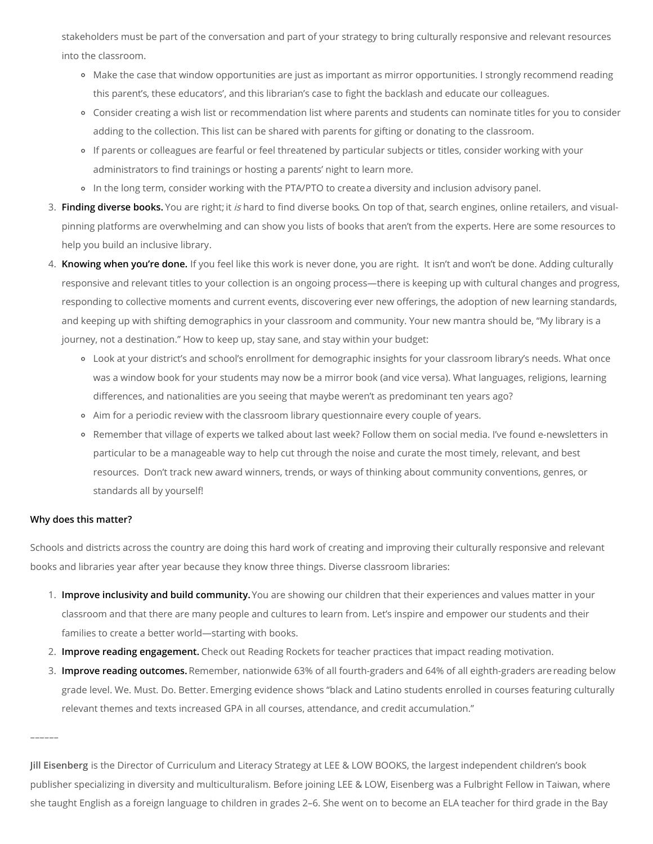stakeholders must be part of the conversation and part of your strategy to bring culturally responsive and relevant resources into the classroom.

- Make the case that window opportunities are just as important as mirror opportunities. I strongly recommend reading this [parent's](http://blog.leeandlow.com/2015/03/25/why-do-we-need-diverse-books-in-non-diverse-schools/), these [educators'](http://www2.ncte.org/blog/2017/09/students-right-need-read-diverse-books/), and this [librarian's](https://showmelibrarian.blogspot.com/2015/02/selection-is-privilege.html) case to fight the backlash and educate our colleagues.
- Consider creating a wish list or recommendation list where parents and students can nominate titles for you to consider adding to the collection. This list can be shared with parents for gifting or donating to the classroom.
- If parents or colleagues are fearful or feel threatened by particular subjects or titles, consider working with your administrators to find trainings or hosting a parents' night to learn more.
- In the long term, consider working with the PTA/PTO to createa diversity and inclusion advisory panel.
- 3. **Finding diverse books.** You are right; it is hard to find [diverse](http://blog.leeandlow.com/2018/05/10/the-diversity-gap-in-childrens-book-publishing-2018/) books. On top of that, search engines, online retailers, and visualpinning platforms are [overwhelming](https://www.collaborativeclassroom.org/wp-content/uploads/2018/09/MKT2670_ForYourClassroom_Resources_Handout.pdf) and can show you lists of books that aren't from the experts. Here are some resources to help you build an inclusive library.
- 4. **Knowing when you're done.** If you feel like this work is never done, you are right. It isn't and won't be done. Adding culturally responsive and relevant titles to your collection is an ongoing process—there is keeping up with cultural changes and progress, responding to collective moments and current events, discovering ever new offerings, the adoption of new learning standards, and keeping up with shifting demographics in your classroom and community. Your new mantra should be, "My library is a journey, not a destination." How to keep up, stay sane, and stay within your budget:
	- Look at your district's and school's enrollment for demographic insights for your classroom library's needs. What once was a window book for your students may now be a mirror book (and vice versa). What languages, religions, learning differences, and nationalities are you seeing that maybe weren't as predominant ten years ago?
	- Aim for a periodic review with the classroom library [questionnaire](https://www.leeandlow.com/uploads/loaded_document/408/Classroom-Library-Questionnaire_FINAL.pdf) every couple of years.
	- Remember that village of experts we talked about last week? Follow them on social media. I've found e-newsletters in particular to be a manageable way to help cut through the noise and curate the most timely, relevant, and best resources. Don't track new award winners, trends, or ways of thinking about community conventions, genres, or standards all by yourself!

## **Why does this matter?**

––––––

Schools and districts across the country are doing this hard work of creating and improving their culturally responsive and relevant books and libraries year after year because they know three things. Diverse classroom libraries:

- 1. **Improve inclusivity and build community.** You are showing our children that their experiences and values matter in your classroom and that there are many people and cultures to learn from. Let's inspire and empower our students and their families to create a better world—starting with books.
- 2. **Improve reading engagement.** Check out [Reading](http://www.readingrockets.org/article/teacher-practices-impact-reading-motivation) Rockets for teacher practices that impact reading motivation.
- 3. **Improve reading outcomes.** Remember, nationwide 63% of all fourth-graders and 64% of all [eighth-graders](https://www.nationsreportcard.gov/) are reading below grade level. We. Must. Do. Better. [Emerging](http://chiefsforchange.org/policy-paper/4830/?utm_source=policy-paper&utm_medium=website&utm_campaign=hiding-in-plain-sight) evidence shows "black and Latino students enrolled in courses featuring culturally relevant themes and texts increased GPA in all courses, attendance, and credit accumulation."

**Jill Eisenberg** is the Director of Curriculum and Literacy Strategy at LEE & LOW BOOKS, the largest independent children's book publisher specializing in diversity and multiculturalism. Before joining LEE & LOW, Eisenberg was a Fulbright Fellow in Taiwan, where she taught English as a foreign language to children in grades 2–6. She went on to become an ELA teacher for third grade in the Bay